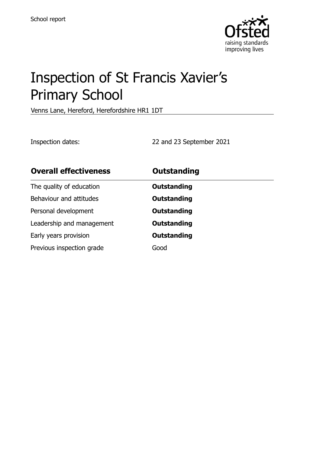

# Inspection of St Francis Xavier's Primary School

Venns Lane, Hereford, Herefordshire HR1 1DT

Inspection dates: 22 and 23 September 2021

| <b>Overall effectiveness</b> | <b>Outstanding</b> |
|------------------------------|--------------------|
| The quality of education     | <b>Outstanding</b> |
| Behaviour and attitudes      | <b>Outstanding</b> |
| Personal development         | <b>Outstanding</b> |
| Leadership and management    | <b>Outstanding</b> |
| Early years provision        | <b>Outstanding</b> |
| Previous inspection grade    | Good               |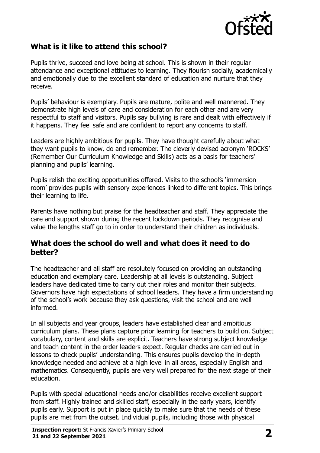

## **What is it like to attend this school?**

Pupils thrive, succeed and love being at school. This is shown in their regular attendance and exceptional attitudes to learning. They flourish socially, academically and emotionally due to the excellent standard of education and nurture that they receive.

Pupils' behaviour is exemplary. Pupils are mature, polite and well mannered. They demonstrate high levels of care and consideration for each other and are very respectful to staff and visitors. Pupils say bullying is rare and dealt with effectively if it happens. They feel safe and are confident to report any concerns to staff.

Leaders are highly ambitious for pupils. They have thought carefully about what they want pupils to know, do and remember. The cleverly devised acronym 'ROCKS' (Remember Our Curriculum Knowledge and Skills) acts as a basis for teachers' planning and pupils' learning.

Pupils relish the exciting opportunities offered. Visits to the school's 'immersion room' provides pupils with sensory experiences linked to different topics. This brings their learning to life.

Parents have nothing but praise for the headteacher and staff. They appreciate the care and support shown during the recent lockdown periods. They recognise and value the lengths staff go to in order to understand their children as individuals.

#### **What does the school do well and what does it need to do better?**

The headteacher and all staff are resolutely focused on providing an outstanding education and exemplary care. Leadership at all levels is outstanding. Subject leaders have dedicated time to carry out their roles and monitor their subjects. Governors have high expectations of school leaders. They have a firm understanding of the school's work because they ask questions, visit the school and are well informed.

In all subjects and year groups, leaders have established clear and ambitious curriculum plans. These plans capture prior learning for teachers to build on. Subject vocabulary, content and skills are explicit. Teachers have strong subject knowledge and teach content in the order leaders expect. Regular checks are carried out in lessons to check pupils' understanding. This ensures pupils develop the in-depth knowledge needed and achieve at a high level in all areas, especially English and mathematics. Consequently, pupils are very well prepared for the next stage of their education.

Pupils with special educational needs and/or disabilities receive excellent support from staff. Highly trained and skilled staff, especially in the early years, identify pupils early. Support is put in place quickly to make sure that the needs of these pupils are met from the outset. Individual pupils, including those with physical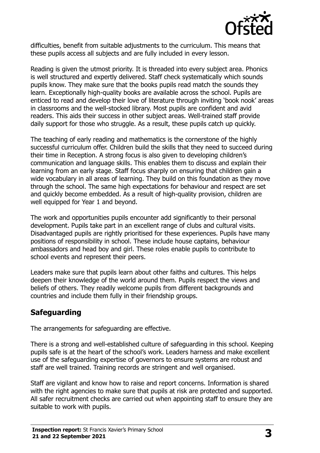

difficulties, benefit from suitable adjustments to the curriculum. This means that these pupils access all subjects and are fully included in every lesson.

Reading is given the utmost priority. It is threaded into every subject area. Phonics is well structured and expertly delivered. Staff check systematically which sounds pupils know. They make sure that the books pupils read match the sounds they learn. Exceptionally high-quality books are available across the school. Pupils are enticed to read and develop their love of literature through inviting 'book nook' areas in classrooms and the well-stocked library. Most pupils are confident and avid readers. This aids their success in other subject areas. Well-trained staff provide daily support for those who struggle. As a result, these pupils catch up quickly.

The teaching of early reading and mathematics is the cornerstone of the highly successful curriculum offer. Children build the skills that they need to succeed during their time in Reception. A strong focus is also given to developing children's communication and language skills. This enables them to discuss and explain their learning from an early stage. Staff focus sharply on ensuring that children gain a wide vocabulary in all areas of learning. They build on this foundation as they move through the school. The same high expectations for behaviour and respect are set and quickly become embedded. As a result of high-quality provision, children are well equipped for Year 1 and beyond.

The work and opportunities pupils encounter add significantly to their personal development. Pupils take part in an excellent range of clubs and cultural visits. Disadvantaged pupils are rightly prioritised for these experiences. Pupils have many positions of responsibility in school. These include house captains, behaviour ambassadors and head boy and girl. These roles enable pupils to contribute to school events and represent their peers.

Leaders make sure that pupils learn about other faiths and cultures. This helps deepen their knowledge of the world around them. Pupils respect the views and beliefs of others. They readily welcome pupils from different backgrounds and countries and include them fully in their friendship groups.

## **Safeguarding**

The arrangements for safeguarding are effective.

There is a strong and well-established culture of safeguarding in this school. Keeping pupils safe is at the heart of the school's work. Leaders harness and make excellent use of the safeguarding expertise of governors to ensure systems are robust and staff are well trained. Training records are stringent and well organised.

Staff are vigilant and know how to raise and report concerns. Information is shared with the right agencies to make sure that pupils at risk are protected and supported. All safer recruitment checks are carried out when appointing staff to ensure they are suitable to work with pupils.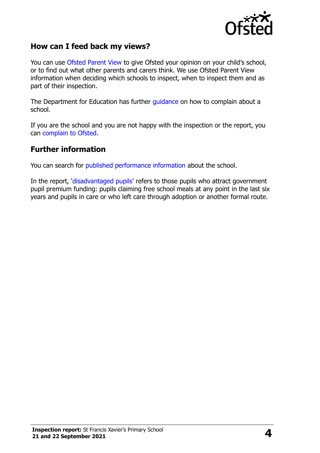

### **How can I feed back my views?**

You can use [Ofsted Parent View](http://parentview.ofsted.gov.uk/) to give Ofsted your opinion on your child's school, or to find out what other parents and carers think. We use Ofsted Parent View information when deciding which schools to inspect, when to inspect them and as part of their inspection.

The Department for Education has further [guidance](http://www.gov.uk/complain-about-school) on how to complain about a school.

If you are the school and you are not happy with the inspection or the report, you can [complain to Ofsted.](http://www.gov.uk/complain-ofsted-report)

#### **Further information**

You can search for [published performance information](http://www.compare-school-performance.service.gov.uk/) about the school.

In the report, '[disadvantaged pupils](http://www.gov.uk/guidance/pupil-premium-information-for-schools-and-alternative-provision-settings)' refers to those pupils who attract government pupil premium funding: pupils claiming free school meals at any point in the last six years and pupils in care or who left care through adoption or another formal route.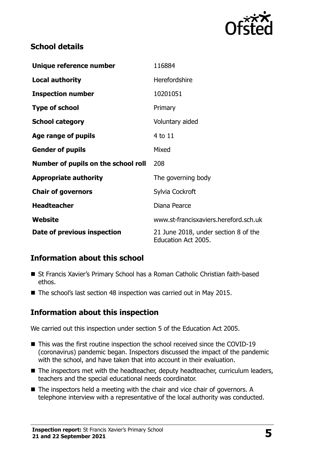

## **School details**

| Unique reference number             | 116884                                                      |
|-------------------------------------|-------------------------------------------------------------|
| <b>Local authority</b>              | <b>Herefordshire</b>                                        |
| <b>Inspection number</b>            | 10201051                                                    |
| <b>Type of school</b>               | Primary                                                     |
| <b>School category</b>              | Voluntary aided                                             |
| Age range of pupils                 | 4 to 11                                                     |
| <b>Gender of pupils</b>             | Mixed                                                       |
| Number of pupils on the school roll | 208                                                         |
| <b>Appropriate authority</b>        | The governing body                                          |
| <b>Chair of governors</b>           | Sylvia Cockroft                                             |
| <b>Headteacher</b>                  | Diana Pearce                                                |
| Website                             | www.st-francisxaviers.hereford.sch.uk                       |
| Date of previous inspection         | 21 June 2018, under section 8 of the<br>Education Act 2005. |

## **Information about this school**

- St Francis Xavier's Primary School has a Roman Catholic Christian faith-based ethos.
- The school's last section 48 inspection was carried out in May 2015.

## **Information about this inspection**

We carried out this inspection under section 5 of the Education Act 2005.

- This was the first routine inspection the school received since the COVID-19 (coronavirus) pandemic began. Inspectors discussed the impact of the pandemic with the school, and have taken that into account in their evaluation.
- The inspectors met with the headteacher, deputy headteacher, curriculum leaders, teachers and the special educational needs coordinator.
- The inspectors held a meeting with the chair and vice chair of governors. A telephone interview with a representative of the local authority was conducted.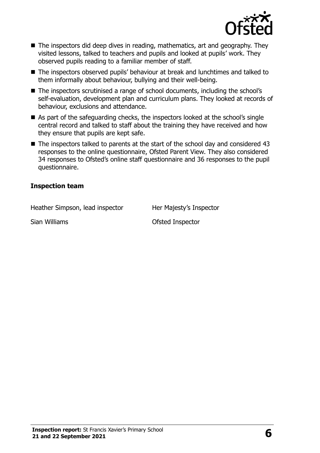

- The inspectors did deep dives in reading, mathematics, art and geography. They visited lessons, talked to teachers and pupils and looked at pupils' work. They observed pupils reading to a familiar member of staff.
- The inspectors observed pupils' behaviour at break and lunchtimes and talked to them informally about behaviour, bullying and their well-being.
- The inspectors scrutinised a range of school documents, including the school's self-evaluation, development plan and curriculum plans. They looked at records of behaviour, exclusions and attendance.
- As part of the safeguarding checks, the inspectors looked at the school's single central record and talked to staff about the training they have received and how they ensure that pupils are kept safe.
- The inspectors talked to parents at the start of the school day and considered 43 responses to the online questionnaire, Ofsted Parent View. They also considered 34 responses to Ofsted's online staff questionnaire and 36 responses to the pupil questionnaire.

#### **Inspection team**

Heather Simpson, lead inspector Her Majesty's Inspector

Sian Williams **Contract Contract Contract Contract Contract Contract Contract Contract Contract Contract Contract Contract Contract Contract Contract Contract Contract Contract Contract Contract Contract Contract Contract**